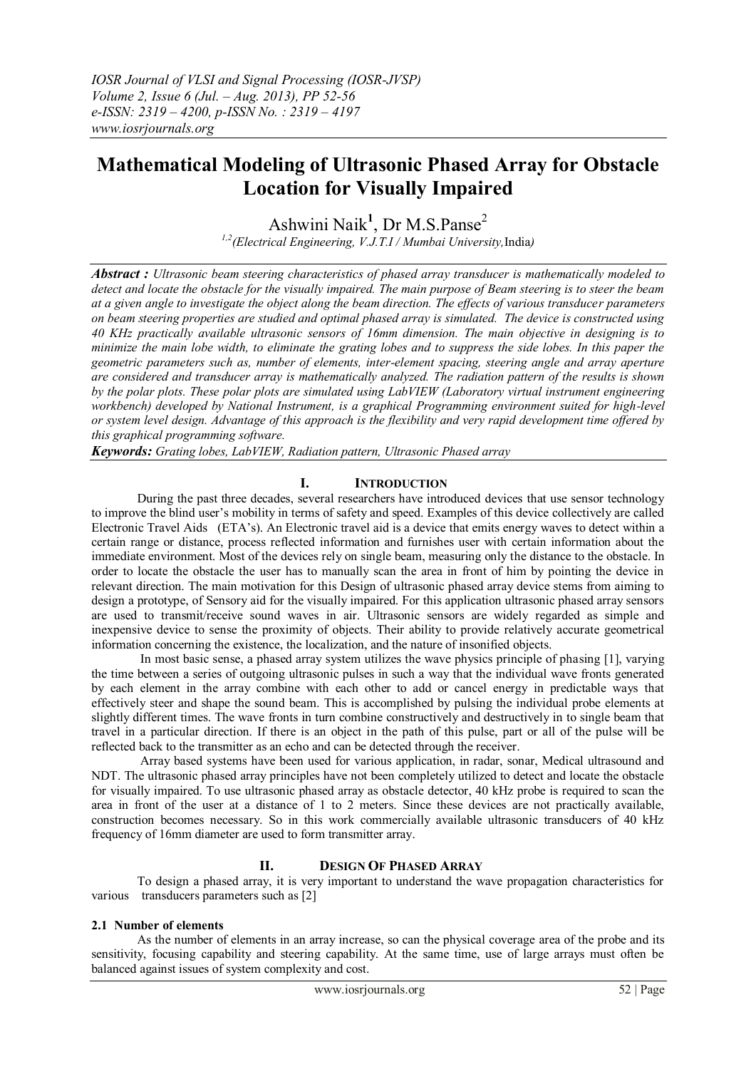# **Mathematical Modeling of Ultrasonic Phased Array for Obstacle Location for Visually Impaired**

Ashwini Naik<sup>1</sup>, Dr M.S.Panse<sup>2</sup> *1,2(Electrical Engineering, V.J.T.I / Mumbai University,*India*)*

*Abstract : Ultrasonic beam steering characteristics of phased array transducer is mathematically modeled to detect and locate the obstacle for the visually impaired. The main purpose of Beam steering is to steer the beam at a given angle to investigate the object along the beam direction. The effects of various transducer parameters on beam steering properties are studied and optimal phased array is simulated. The device is constructed using 40 KHz practically available ultrasonic sensors of 16mm dimension. The main objective in designing is to minimize the main lobe width, to eliminate the grating lobes and to suppress the side lobes. In this paper the geometric parameters such as, number of elements, inter-element spacing, steering angle and array aperture are considered and transducer array is mathematically analyzed. The radiation pattern of the results is shown by the polar plots. These polar plots are simulated using LabVIEW (Laboratory virtual instrument engineering workbench) developed by National Instrument, is a graphical Programming environment suited for high-level or system level design. Advantage of this approach is the flexibility and very rapid development time offered by this graphical programming software.*

*Keywords: Grating lobes, LabVIEW, Radiation pattern, Ultrasonic Phased array*

## **I. INTRODUCTION**

During the past three decades, several researchers have introduced devices that use sensor technology to improve the blind user's mobility in terms of safety and speed. Examples of this device collectively are called Electronic Travel Aids (ETA's). An Electronic travel aid is a device that emits energy waves to detect within a certain range or distance, process reflected information and furnishes user with certain information about the immediate environment. Most of the devices rely on single beam, measuring only the distance to the obstacle. In order to locate the obstacle the user has to manually scan the area in front of him by pointing the device in relevant direction. The main motivation for this Design of ultrasonic phased array device stems from aiming to design a prototype, of Sensory aid for the visually impaired. For this application ultrasonic phased array sensors are used to transmit/receive sound waves in air. Ultrasonic sensors are widely regarded as simple and inexpensive device to sense the proximity of objects. Their ability to provide relatively accurate geometrical information concerning the existence, the localization, and the nature of insonified objects.

 In most basic sense, a phased array system utilizes the wave physics principle of phasing [1], varying the time between a series of outgoing ultrasonic pulses in such a way that the individual wave fronts generated by each element in the array combine with each other to add or cancel energy in predictable ways that effectively steer and shape the sound beam. This is accomplished by pulsing the individual probe elements at slightly different times. The wave fronts in turn combine constructively and destructively in to single beam that travel in a particular direction. If there is an object in the path of this pulse, part or all of the pulse will be reflected back to the transmitter as an echo and can be detected through the receiver.

 Array based systems have been used for various application, in radar, sonar, Medical ultrasound and NDT. The ultrasonic phased array principles have not been completely utilized to detect and locate the obstacle for visually impaired. To use ultrasonic phased array as obstacle detector, 40 kHz probe is required to scan the area in front of the user at a distance of 1 to 2 meters. Since these devices are not practically available, construction becomes necessary. So in this work commercially available ultrasonic transducers of 40 kHz frequency of 16mm diameter are used to form transmitter array.

#### **II. DESIGN OF PHASED ARRAY**

To design a phased array, it is very important to understand the wave propagation characteristics for various transducers parameters such as [2]

#### **2.1 Number of elements**

As the number of elements in an array increase, so can the physical coverage area of the probe and its sensitivity, focusing capability and steering capability. At the same time, use of large arrays must often be balanced against issues of system complexity and cost.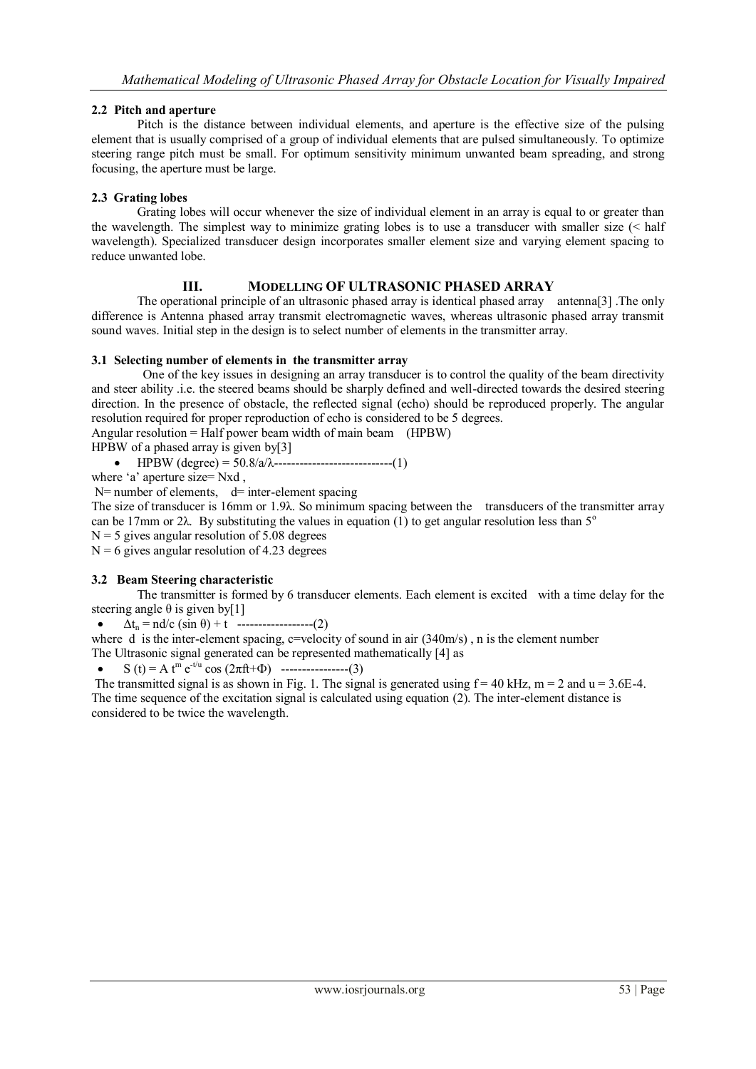## **2.2 Pitch and aperture**

Pitch is the distance between individual elements, and aperture is the effective size of the pulsing element that is usually comprised of a group of individual elements that are pulsed simultaneously. To optimize steering range pitch must be small. For optimum sensitivity minimum unwanted beam spreading, and strong focusing, the aperture must be large.

### **2.3 Grating lobes**

Grating lobes will occur whenever the size of individual element in an array is equal to or greater than the wavelength. The simplest way to minimize grating lobes is to use a transducer with smaller size (< half wavelength). Specialized transducer design incorporates smaller element size and varying element spacing to reduce unwanted lobe.

## **III. MODELLING OF ULTRASONIC PHASED ARRAY**

The operational principle of an ultrasonic phased array is identical phased array antenna[3] .The only difference is Antenna phased array transmit electromagnetic waves, whereas ultrasonic phased array transmit sound waves. Initial step in the design is to select number of elements in the transmitter array.

## **3.1 Selecting number of elements in the transmitter array**

One of the key issues in designing an array transducer is to control the quality of the beam directivity and steer ability .i.e. the steered beams should be sharply defined and well-directed towards the desired steering direction. In the presence of obstacle, the reflected signal (echo) should be reproduced properly. The angular resolution required for proper reproduction of echo is considered to be 5 degrees.

Angular resolution = Half power beam width of main beam (HPBW)

HPBW of a phased array is given by[3] HPBW (degree) = 50.8/a/λ----------------------------(1)

where 'a' aperture size= Nxd,

 $N=$  number of elements,  $d=$  inter-element spacing

The size of transducer is 16mm or 1.9λ. So minimum spacing between the transducers of the transmitter array can be 17mm or 2λ. By substituting the values in equation (1) to get angular resolution less than  $5^\circ$ 

 $N = 5$  gives angular resolution of 5.08 degrees

 $N = 6$  gives angular resolution of 4.23 degrees

#### **3.2 Beam Steering characteristic**

The transmitter is formed by 6 transducer elements. Each element is excited with a time delay for the steering angle  $\theta$  is given by [1]

 $\Delta t_n = nd/c$  (sin  $\theta$ ) + t ------------------(2)

where d is the inter-element spacing, c=velocity of sound in air (340m/s), n is the element number The Ultrasonic signal generated can be represented mathematically [4] as

 $\bullet$  S (t) = A t<sup>m</sup> e<sup>-t/u</sup> cos (2πft+Φ) -----------------(3)

The transmitted signal is as shown in Fig. 1. The signal is generated using  $f = 40$  kHz,  $m = 2$  and  $u = 3.6E-4$ . The time sequence of the excitation signal is calculated using equation (2). The inter-element distance is considered to be twice the wavelength.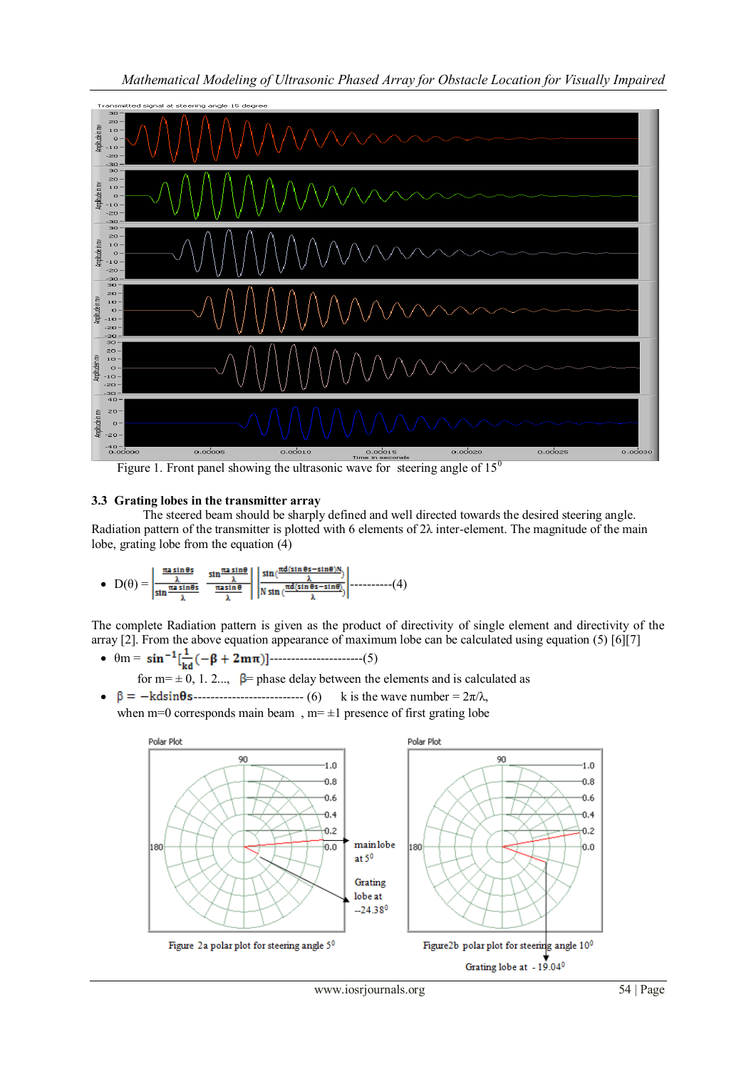*Mathematical Modeling of Ultrasonic Phased Array for Obstacle Location for Visually Impaired*



## **3.3 Grating lobes in the transmitter array**

The steered beam should be sharply defined and well directed towards the desired steering angle. Radiation pattern of the transmitter is plotted with 6 elements of  $2\lambda$  inter-element. The magnitude of the main lobe, grating lobe from the equation (4)

$$
\bullet\quad D(\theta)=\left|\frac{\frac{\pi a\sin\theta s}{\lambda}}{\sin\frac{\pi a\sin\theta s}{\lambda}}\right|\left|\frac{\sin\frac{\pi a\sin\theta}{\lambda}}{\frac{\pi a\sin\theta s}{\lambda}}\right|\left|\frac{\sin\left(\frac{\pi d(\sin\theta s-\sin\theta)N}{\lambda}\right)}{N\sin\left(\frac{\pi d(\sin\theta s-\sin\theta)}{\lambda}\right)}\right|-\cdots\dots\dots\dots(4)
$$

The complete Radiation pattern is given as the product of directivity of single element and directivity of the array [2]. From the above equation appearance of maximum lobe can be calculated using equation (5) [6][7]

θm = ----------------------(5)

for  $m = \pm 0$ , 1. 2...,  $\beta$ = phase delay between the elements and is calculated as  $\bullet$  β = -kdsinθs ------------------------- (6) k is the wave number =  $2π/λ$ ,

when m=0 corresponds main beam,  $m= \pm 1$  presence of first grating lobe

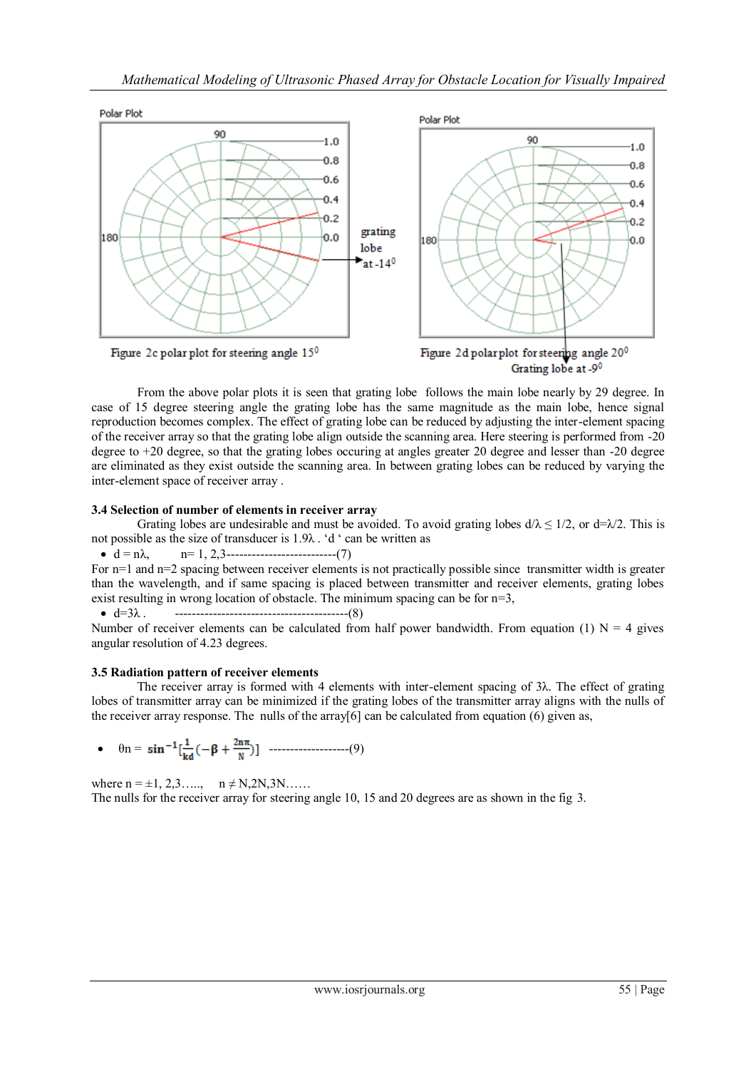

From the above polar plots it is seen that grating lobe follows the main lobe nearly by 29 degree. In case of 15 degree steering angle the grating lobe has the same magnitude as the main lobe, hence signal reproduction becomes complex. The effect of grating lobe can be reduced by adjusting the inter-element spacing of the receiver array so that the grating lobe align outside the scanning area. Here steering is performed from -20 degree to +20 degree, so that the grating lobes occuring at angles greater 20 degree and lesser than -20 degree are eliminated as they exist outside the scanning area. In between grating lobes can be reduced by varying the inter-element space of receiver array .

#### **3.4 Selection of number of elements in receiver array**

Grating lobes are undesirable and must be avoided. To avoid grating lobes  $d/\lambda \leq 1/2$ , or  $d=\lambda/2$ . This is not possible as the size of transducer is 1.9λ . 'd ' can be written as

 $d = n\lambda$ ,  $n= 1, 2, 3$ -----------------------------(7)

For n=1 and n=2 spacing between receiver elements is not practically possible since transmitter width is greater than the wavelength, and if same spacing is placed between transmitter and receiver elements, grating lobes exist resulting in wrong location of obstacle. The minimum spacing can be for  $n=3$ ,

d=3λ . -----------------------------------------(8)

Number of receiver elements can be calculated from half power bandwidth. From equation (1)  $N = 4$  gives angular resolution of 4.23 degrees.

#### **3.5 Radiation pattern of receiver elements**

The receiver array is formed with 4 elements with inter-element spacing of 3λ. The effect of grating lobes of transmitter array can be minimized if the grating lobes of the transmitter array aligns with the nulls of the receiver array response. The nulls of the array [6] can be calculated from equation (6) given as,

• 
$$
\theta_n = \sin^{-1}[\frac{1}{kd}(-\beta + \frac{2n\pi}{N})]
$$
 (9)

where  $n = \pm 1, 2, 3, \dots, n \neq N, 2N, 3N, \dots$ 

The nulls for the receiver array for steering angle 10, 15 and 20 degrees are as shown in the fig 3.